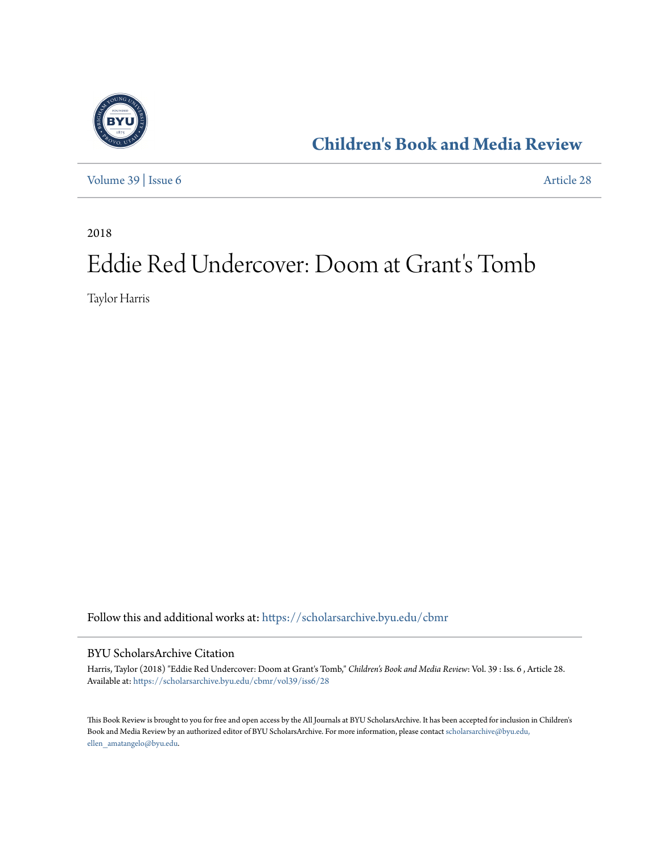

**[Children's Book and Media Review](https://scholarsarchive.byu.edu/cbmr?utm_source=scholarsarchive.byu.edu%2Fcbmr%2Fvol39%2Fiss6%2F28&utm_medium=PDF&utm_campaign=PDFCoverPages)**

[Volume 39](https://scholarsarchive.byu.edu/cbmr/vol39?utm_source=scholarsarchive.byu.edu%2Fcbmr%2Fvol39%2Fiss6%2F28&utm_medium=PDF&utm_campaign=PDFCoverPages) | [Issue 6](https://scholarsarchive.byu.edu/cbmr/vol39/iss6?utm_source=scholarsarchive.byu.edu%2Fcbmr%2Fvol39%2Fiss6%2F28&utm_medium=PDF&utm_campaign=PDFCoverPages) [Article 28](https://scholarsarchive.byu.edu/cbmr/vol39/iss6/28?utm_source=scholarsarchive.byu.edu%2Fcbmr%2Fvol39%2Fiss6%2F28&utm_medium=PDF&utm_campaign=PDFCoverPages)

2018

# Eddie Red Undercover: Doom at Grant's Tomb

Taylor Harris

Follow this and additional works at: [https://scholarsarchive.byu.edu/cbmr](https://scholarsarchive.byu.edu/cbmr?utm_source=scholarsarchive.byu.edu%2Fcbmr%2Fvol39%2Fiss6%2F28&utm_medium=PDF&utm_campaign=PDFCoverPages)

#### BYU ScholarsArchive Citation

Harris, Taylor (2018) "Eddie Red Undercover: Doom at Grant's Tomb," *Children's Book and Media Review*: Vol. 39 : Iss. 6 , Article 28. Available at: [https://scholarsarchive.byu.edu/cbmr/vol39/iss6/28](https://scholarsarchive.byu.edu/cbmr/vol39/iss6/28?utm_source=scholarsarchive.byu.edu%2Fcbmr%2Fvol39%2Fiss6%2F28&utm_medium=PDF&utm_campaign=PDFCoverPages)

This Book Review is brought to you for free and open access by the All Journals at BYU ScholarsArchive. It has been accepted for inclusion in Children's Book and Media Review by an authorized editor of BYU ScholarsArchive. For more information, please contact [scholarsarchive@byu.edu,](mailto:scholarsarchive@byu.edu,%20ellen_amatangelo@byu.edu) [ellen\\_amatangelo@byu.edu.](mailto:scholarsarchive@byu.edu,%20ellen_amatangelo@byu.edu)